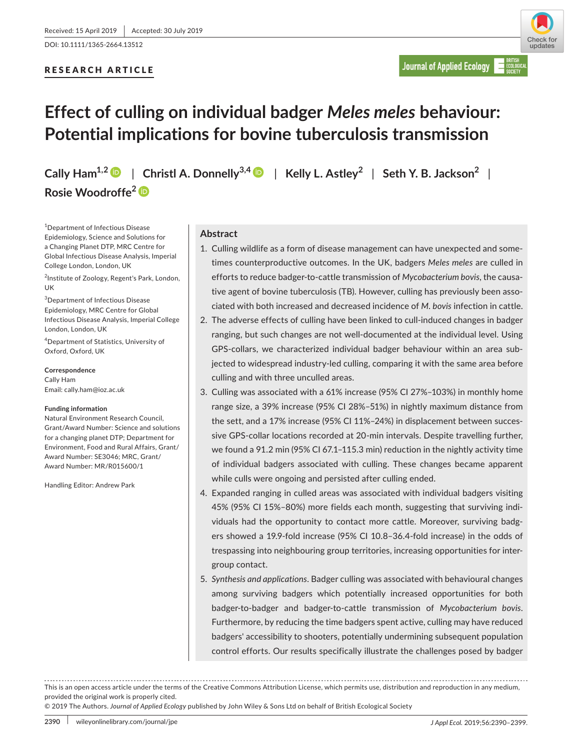DOI: 10.1111/1365-2664.13512

# RESEARCH ARTICLE



# **Effect of culling on individual badger** *Meles meles* **behaviour: Potential implications for bovine tuberculosis transmission**

**Cally Ham<sup>1,2</sup> | Christl A. Donnelly<sup>3,4</sup> | Kelly L. Astley<sup>2</sup> | Seth Y. B. Jackson<sup>2</sup> | Rosie Woodroffe[2](https://orcid.org/0000-0003-2104-3133)**

1 Department of Infectious Disease Epidemiology, Science and Solutions for a Changing Planet DTP, MRC Centre for Global Infectious Disease Analysis, Imperial College London, London, UK

<sup>2</sup>Institute of Zoology, Regent's Park, London, UK

3 Department of Infectious Disease Epidemiology, MRC Centre for Global Infectious Disease Analysis, Imperial College London, London, UK

4 Department of Statistics, University of Oxford, Oxford, UK

### **Correspondence**

Cally Ham Email: [cally.ham@ioz.ac.uk](mailto:cally.ham@ioz.ac.uk)

#### **Funding information**

Natural Environment Research Council, Grant/Award Number: Science and solutions for a changing planet DTP; Department for Environment, Food and Rural Affairs, Grant/ Award Number: SE3046; MRC, Grant/ Award Number: MR/R015600/1

Handling Editor: Andrew Park

# **Abstract**

- 1. Culling wildlife as a form of disease management can have unexpected and sometimes counterproductive outcomes. In the UK, badgers *Meles meles* are culled in efforts to reduce badger‐to‐cattle transmission of *Mycobacterium bovis*, the causative agent of bovine tuberculosis (TB). However, culling has previously been associated with both increased and decreased incidence of *M. bovis* infection in cattle.
- 2. The adverse effects of culling have been linked to cull‐induced changes in badger ranging, but such changes are not well‐documented at the individual level. Using GPS‐collars, we characterized individual badger behaviour within an area subjected to widespread industry-led culling, comparing it with the same area before culling and with three unculled areas.
- 3. Culling was associated with a 61% increase (95% CI 27%–103%) in monthly home range size, a 39% increase (95% CI 28%–51%) in nightly maximum distance from the sett, and a 17% increase (95% CI 11%–24%) in displacement between successive GPS-collar locations recorded at 20-min intervals. Despite travelling further, we found a 91.2 min (95% CI 67.1–115.3 min) reduction in the nightly activity time of individual badgers associated with culling. These changes became apparent while culls were ongoing and persisted after culling ended.
- 4. Expanded ranging in culled areas was associated with individual badgers visiting 45% (95% CI 15%–80%) more fields each month, suggesting that surviving individuals had the opportunity to contact more cattle. Moreover, surviving badgers showed a 19.9‐fold increase (95% CI 10.8–36.4‐fold increase) in the odds of trespassing into neighbouring group territories, increasing opportunities for intergroup contact.
- 5. *Synthesis and applications*. Badger culling was associated with behavioural changes among surviving badgers which potentially increased opportunities for both badger‐to‐badger and badger‐to‐cattle transmission of *Mycobacterium bovis*. Furthermore, by reducing the time badgers spent active, culling may have reduced badgers' accessibility to shooters, potentially undermining subsequent population control efforts. Our results specifically illustrate the challenges posed by badger

© 2019 The Authors. *Journal of Applied Ecology* published by John Wiley & Sons Ltd on behalf of British Ecological Society

This is an open access article under the terms of the [Creative Commons Attribution](http://creativecommons.org/licenses/by/4.0/) License, which permits use, distribution and reproduction in any medium, provided the original work is properly cited.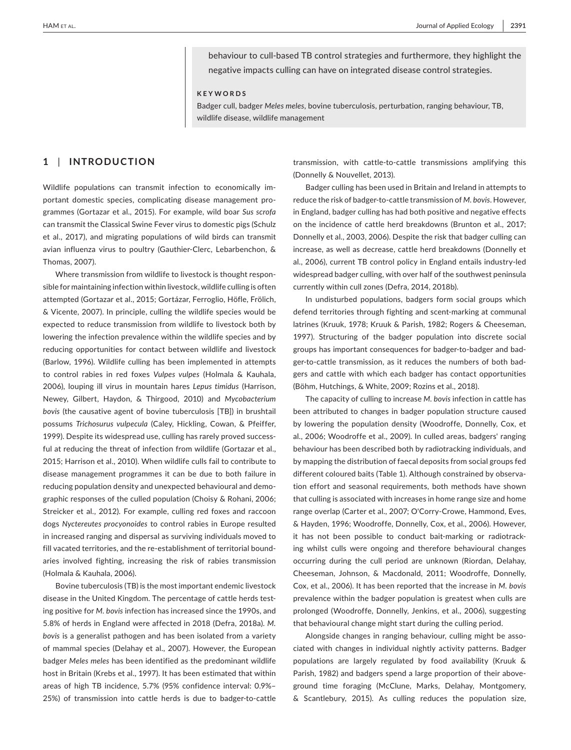behaviour to cull‐based TB control strategies and furthermore, they highlight the negative impacts culling can have on integrated disease control strategies.

**KEYWORDS**

Badger cull, badger *Meles meles*, bovine tuberculosis, perturbation, ranging behaviour, TB, wildlife disease, wildlife management

# **1** | **INTRODUCTION**

Wildlife populations can transmit infection to economically important domestic species, complicating disease management programmes (Gortazar et al., 2015). For example, wild boar *Sus scrofa* can transmit the Classical Swine Fever virus to domestic pigs (Schulz et al., 2017), and migrating populations of wild birds can transmit avian influenza virus to poultry (Gauthier‐Clerc, Lebarbenchon, & Thomas, 2007).

Where transmission from wildlife to livestock is thought responsible for maintaining infection within livestock, wildlife culling is often attempted (Gortazar et al., 2015; Gortázar, Ferroglio, Höfle, Frölich, & Vicente, 2007). In principle, culling the wildlife species would be expected to reduce transmission from wildlife to livestock both by lowering the infection prevalence within the wildlife species and by reducing opportunities for contact between wildlife and livestock (Barlow, 1996). Wildlife culling has been implemented in attempts to control rabies in red foxes *Vulpes vulpes* (Holmala & Kauhala, 2006), louping ill virus in mountain hares *Lepus timidus* (Harrison, Newey, Gilbert, Haydon, & Thirgood, 2010) and *Mycobacterium bovis* (the causative agent of bovine tuberculosis [TB]) in brushtail possums *Trichosurus vulpecula* (Caley, Hickling, Cowan, & Pfeiffer, 1999). Despite its widespread use, culling has rarely proved successful at reducing the threat of infection from wildlife (Gortazar et al., 2015; Harrison et al., 2010). When wildlife culls fail to contribute to disease management programmes it can be due to both failure in reducing population density and unexpected behavioural and demographic responses of the culled population (Choisy & Rohani, 2006; Streicker et al., 2012). For example, culling red foxes and raccoon dogs *Nyctereutes procyonoides* to control rabies in Europe resulted in increased ranging and dispersal as surviving individuals moved to fill vacated territories, and the re‐establishment of territorial boundaries involved fighting, increasing the risk of rabies transmission (Holmala & Kauhala, 2006).

Bovine tuberculosis (TB) is the most important endemic livestock disease in the United Kingdom. The percentage of cattle herds testing positive for *M. bovis* infection has increased since the 1990s, and 5.8% of herds in England were affected in 2018 (Defra, 2018a). *M. bovis* is a generalist pathogen and has been isolated from a variety of mammal species (Delahay et al., 2007). However, the European badger *Meles meles* has been identified as the predominant wildlife host in Britain (Krebs et al., 1997). It has been estimated that within areas of high TB incidence, 5.7% (95% confidence interval: 0.9%– 25%) of transmission into cattle herds is due to badger-to-cattle

transmission, with cattle‐to‐cattle transmissions amplifying this (Donnelly & Nouvellet, 2013).

Badger culling has been used in Britain and Ireland in attempts to reduce the risk of badger‐to‐cattle transmission of *M. bovis*. However, in England, badger culling has had both positive and negative effects on the incidence of cattle herd breakdowns (Brunton et al., 2017; Donnelly et al., 2003, 2006). Despite the risk that badger culling can increase, as well as decrease, cattle herd breakdowns (Donnelly et al., 2006), current TB control policy in England entails industry‐led widespread badger culling, with over half of the southwest peninsula currently within cull zones (Defra, 2014, 2018b).

In undisturbed populations, badgers form social groups which defend territories through fighting and scent‐marking at communal latrines (Kruuk, 1978; Kruuk & Parish, 1982; Rogers & Cheeseman, 1997). Structuring of the badger population into discrete social groups has important consequences for badger‐to‐badger and badger-to-cattle transmission, as it reduces the numbers of both badgers and cattle with which each badger has contact opportunities (Böhm, Hutchings, & White, 2009; Rozins et al., 2018).

The capacity of culling to increase *M. bovis* infection in cattle has been attributed to changes in badger population structure caused by lowering the population density (Woodroffe, Donnelly, Cox, et al., 2006; Woodroffe et al., 2009). In culled areas, badgers' ranging behaviour has been described both by radiotracking individuals, and by mapping the distribution of faecal deposits from social groups fed different coloured baits (Table 1). Although constrained by observation effort and seasonal requirements, both methods have shown that culling is associated with increases in home range size and home range overlap (Carter et al., 2007; O'Corry‐Crowe, Hammond, Eves, & Hayden, 1996; Woodroffe, Donnelly, Cox, et al., 2006). However, it has not been possible to conduct bait-marking or radiotracking whilst culls were ongoing and therefore behavioural changes occurring during the cull period are unknown (Riordan, Delahay, Cheeseman, Johnson, & Macdonald, 2011; Woodroffe, Donnelly, Cox, et al., 2006). It has been reported that the increase in *M. bovis* prevalence within the badger population is greatest when culls are prolonged (Woodroffe, Donnelly, Jenkins, et al., 2006), suggesting that behavioural change might start during the culling period.

Alongside changes in ranging behaviour, culling might be associated with changes in individual nightly activity patterns. Badger populations are largely regulated by food availability (Kruuk & Parish, 1982) and badgers spend a large proportion of their above‐ ground time foraging (McClune, Marks, Delahay, Montgomery, & Scantlebury, 2015). As culling reduces the population size,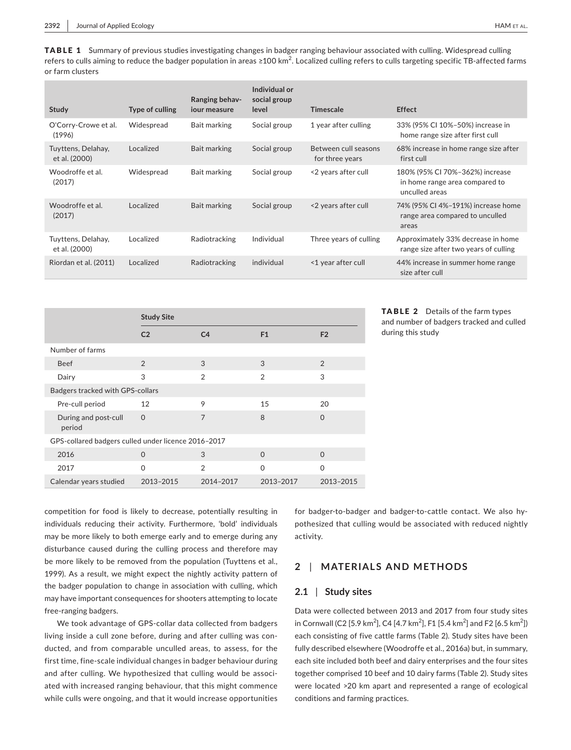TABLE 1 Summary of previous studies investigating changes in badger ranging behaviour associated with culling. Widespread culling refers to culls aiming to reduce the badger population in areas ≥100 km<sup>2</sup>. Localized culling refers to culls targeting specific TB-affected farms or farm clusters

| Type of culling | Ranging behav-<br>jour measure | Individual or<br>social group<br>level | Timescale                               | <b>Effect</b>                                                                       |
|-----------------|--------------------------------|----------------------------------------|-----------------------------------------|-------------------------------------------------------------------------------------|
| Widespread      | Bait marking                   | Social group                           | 1 year after culling                    | 33% (95% CI 10%-50%) increase in<br>home range size after first cull                |
| Localized       | Bait marking                   | Social group                           | Between cull seasons<br>for three years | 68% increase in home range size after<br>first cull                                 |
| Widespread      | Bait marking                   | Social group                           | <2 years after cull                     | 180% (95% CI 70%-362%) increase<br>in home range area compared to<br>unculled areas |
| Localized       | Bait marking                   | Social group                           | <2 years after cull                     | 74% (95% CI 4%-191%) increase home<br>range area compared to unculled<br>areas      |
| Localized       | Radiotracking                  | Individual                             | Three years of culling                  | Approximately 33% decrease in home<br>range size after two years of culling         |
| Localized       | Radiotracking                  | individual                             | <1 year after cull                      | 44% increase in summer home range<br>size after cull                                |
|                 |                                |                                        |                                         |                                                                                     |

|                                                     | <b>Study Site</b> |                |                |                |  |  |  |  |  |  |
|-----------------------------------------------------|-------------------|----------------|----------------|----------------|--|--|--|--|--|--|
|                                                     | C <sub>2</sub>    | C <sub>4</sub> | F <sub>1</sub> | F <sub>2</sub> |  |  |  |  |  |  |
| Number of farms                                     |                   |                |                |                |  |  |  |  |  |  |
| <b>Beef</b>                                         | $\overline{2}$    | 3              | 3              | $\mathfrak{D}$ |  |  |  |  |  |  |
| Dairy                                               | 3                 | $\mathfrak{D}$ | $\mathcal{P}$  | 3              |  |  |  |  |  |  |
| Badgers tracked with GPS-collars                    |                   |                |                |                |  |  |  |  |  |  |
| Pre-cull period                                     | 12                | 9              | 15             | 20             |  |  |  |  |  |  |
| During and post-cull<br>period                      | $\Omega$          | 7              | 8              | $\Omega$       |  |  |  |  |  |  |
| GPS-collared badgers culled under licence 2016-2017 |                   |                |                |                |  |  |  |  |  |  |
| 2016                                                | $\Omega$          | 3              | $\Omega$       | $\Omega$       |  |  |  |  |  |  |
| 2017                                                | $\Omega$          | $\mathcal{P}$  | $\Omega$       | $\Omega$       |  |  |  |  |  |  |
| Calendar years studied                              | 2013-2015         | 2014-2017      | 2013-2017      | 2013-2015      |  |  |  |  |  |  |

TABLE 2 Details of the farm types and number of badgers tracked and culled during this study

competition for food is likely to decrease, potentially resulting in individuals reducing their activity. Furthermore, 'bold' individuals may be more likely to both emerge early and to emerge during any disturbance caused during the culling process and therefore may be more likely to be removed from the population (Tuyttens et al., 1999). As a result, we might expect the nightly activity pattern of the badger population to change in association with culling, which may have important consequences for shooters attempting to locate free‐ranging badgers.

We took advantage of GPS‐collar data collected from badgers living inside a cull zone before, during and after culling was conducted, and from comparable unculled areas, to assess, for the first time, fine‐scale individual changes in badger behaviour during and after culling. We hypothesized that culling would be associated with increased ranging behaviour, that this might commence while culls were ongoing, and that it would increase opportunities

for badger‐to‐badger and badger‐to‐cattle contact. We also hypothesized that culling would be associated with reduced nightly activity.

# **2** | **MATERIALS AND METHODS**

# **2.1** | **Study sites**

Data were collected between 2013 and 2017 from four study sites in Cornwall (C2 [5.9 km<sup>2</sup>], C4 [4.7 km<sup>2</sup>], F1 [5.4 km<sup>2</sup>] and F2 [6.5 km<sup>2</sup>]) each consisting of five cattle farms (Table 2). Study sites have been fully described elsewhere (Woodroffe et al., 2016a) but, in summary, each site included both beef and dairy enterprises and the four sites together comprised 10 beef and 10 dairy farms (Table 2). Study sites were located >20 km apart and represented a range of ecological conditions and farming practices.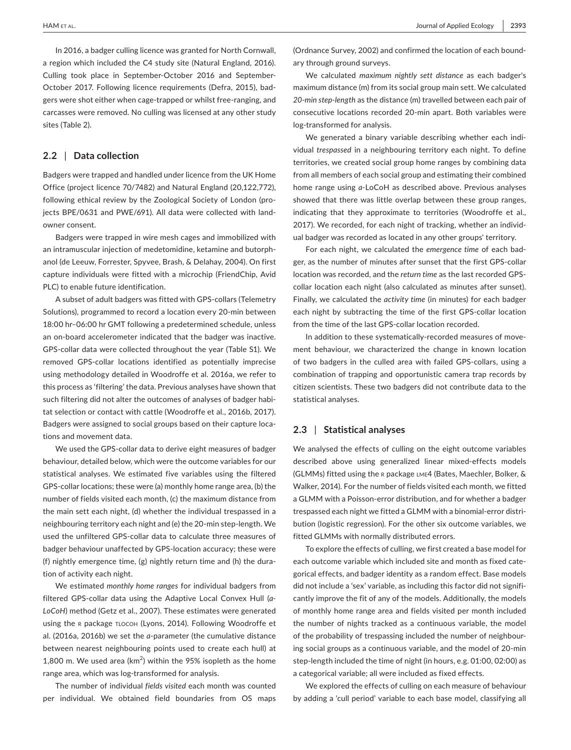In 2016, a badger culling licence was granted for North Cornwall, a region which included the C4 study site (Natural England, 2016). Culling took place in September‐October 2016 and September‐ October 2017. Following licence requirements (Defra, 2015), badgers were shot either when cage‐trapped or whilst free‐ranging, and carcasses were removed. No culling was licensed at any other study sites (Table 2).

# **2.2** | **Data collection**

Badgers were trapped and handled under licence from the UK Home Office (project licence 70/7482) and Natural England (20,122,772), following ethical review by the Zoological Society of London (projects BPE/0631 and PWE/691). All data were collected with landowner consent.

Badgers were trapped in wire mesh cages and immobilized with an intramuscular injection of medetomidine, ketamine and butorphanol (de Leeuw, Forrester, Spyvee, Brash, & Delahay, 2004). On first capture individuals were fitted with a microchip (FriendChip, Avid PLC) to enable future identification.

A subset of adult badgers was fitted with GPS‐collars (Telemetry Solutions), programmed to record a location every 20‐min between 18:00 hr–06:00 hr GMT following a predetermined schedule, unless an on‐board accelerometer indicated that the badger was inactive. GPS‐collar data were collected throughout the year (Table S1). We removed GPS‐collar locations identified as potentially imprecise using methodology detailed in Woodroffe et al. 2016a, we refer to this process as 'filtering' the data. Previous analyses have shown that such filtering did not alter the outcomes of analyses of badger habitat selection or contact with cattle (Woodroffe et al., 2016b, 2017). Badgers were assigned to social groups based on their capture locations and movement data.

We used the GPS‐collar data to derive eight measures of badger behaviour, detailed below, which were the outcome variables for our statistical analyses. We estimated five variables using the filtered GPS‐collar locations; these were (a) monthly home range area, (b) the number of fields visited each month, (c) the maximum distance from the main sett each night, (d) whether the individual trespassed in a neighbouring territory each night and (e) the 20‐min step‐length. We used the unfiltered GPS‐collar data to calculate three measures of badger behaviour unaffected by GPS‐location accuracy; these were (f) nightly emergence time, (g) nightly return time and (h) the duration of activity each night.

We estimated *monthly home ranges* for individual badgers from filtered GPS‐collar data using the Adaptive Local Convex Hull (*a‐ LoCoH*) method (Getz et al., 2007). These estimates were generated using the r package tlocoh (Lyons, 2014). Following Woodroffe et al. (2016a, 2016b) we set the *a*‐parameter (the cumulative distance between nearest neighbouring points used to create each hull) at 1,800 m. We used area ( $km^2$ ) within the 95% isopleth as the home range area, which was log-transformed for analysis.

The number of individual *fields visited* each month was counted per individual. We obtained field boundaries from OS maps (Ordnance Survey, 2002) and confirmed the location of each boundary through ground surveys.

We calculated *maximum nightly sett distance* as each badger's maximum distance (m) from its social group main sett. We calculated *20‐min step‐length* as the distance (m) travelled between each pair of consecutive locations recorded 20‐min apart. Both variables were log‐transformed for analysis.

We generated a binary variable describing whether each individual *trespassed* in a neighbouring territory each night. To define territories, we created social group home ranges by combining data from all members of each social group and estimating their combined home range using *a*‐LoCoH as described above. Previous analyses showed that there was little overlap between these group ranges, indicating that they approximate to territories (Woodroffe et al., 2017). We recorded, for each night of tracking, whether an individual badger was recorded as located in any other groups' territory.

For each night, we calculated the *emergence time* of each badger, as the number of minutes after sunset that the first GPS‐collar location was recorded, and the *return time* as the last recorded GPS‐ collar location each night (also calculated as minutes after sunset). Finally, we calculated the *activity time* (in minutes) for each badger each night by subtracting the time of the first GPS‐collar location from the time of the last GPS‐collar location recorded.

In addition to these systematically-recorded measures of movement behaviour, we characterized the change in known location of two badgers in the culled area with failed GPS‐collars, using a combination of trapping and opportunistic camera trap records by citizen scientists. These two badgers did not contribute data to the statistical analyses.

### **2.3** | **Statistical analyses**

We analysed the effects of culling on the eight outcome variables described above using generalized linear mixed‐effects models (GLMMs) fitted using the r package lme4 (Bates, Maechler, Bolker, & Walker, 2014). For the number of fields visited each month, we fitted a GLMM with a Poisson‐error distribution, and for whether a badger trespassed each night we fitted a GLMM with a binomial‐error distribution (logistic regression). For the other six outcome variables, we fitted GLMMs with normally distributed errors.

To explore the effects of culling, we first created a base model for each outcome variable which included site and month as fixed categorical effects, and badger identity as a random effect. Base models did not include a 'sex' variable, as including this factor did not significantly improve the fit of any of the models. Additionally, the models of monthly home range area and fields visited per month included the number of nights tracked as a continuous variable, the model of the probability of trespassing included the number of neighbouring social groups as a continuous variable, and the model of 20‐min step‐length included the time of night (in hours, e.g. 01:00, 02:00) as a categorical variable; all were included as fixed effects.

We explored the effects of culling on each measure of behaviour by adding a 'cull period' variable to each base model, classifying all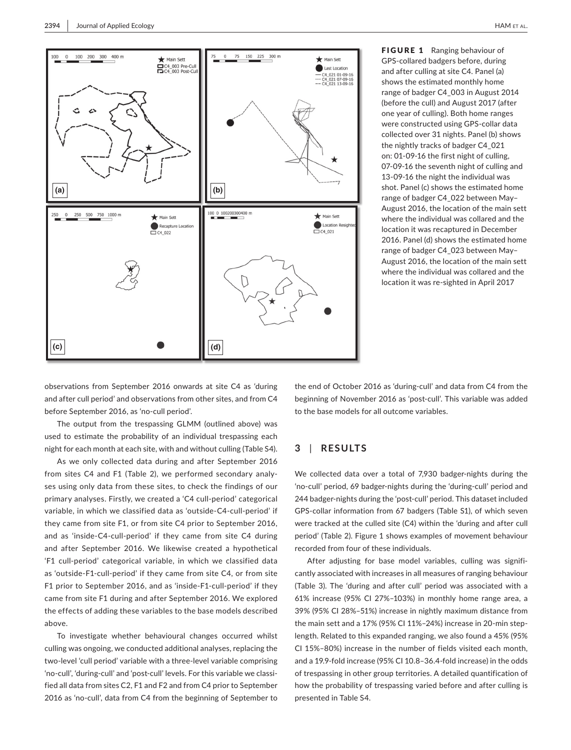

FIGURE 1 Ranging behaviour of GPS‐collared badgers before, during and after culling at site C4. Panel (a) shows the estimated monthly home range of badger C4\_003 in August 2014 (before the cull) and August 2017 (after one year of culling). Both home ranges were constructed using GPS‐collar data collected over 31 nights. Panel (b) shows the nightly tracks of badger C4\_021 on: 01‐09‐16 the first night of culling, 07‐09‐16 the seventh night of culling and 13‐09‐16 the night the individual was shot. Panel (c) shows the estimated home range of badger C4\_022 between May– August 2016, the location of the main sett where the individual was collared and the location it was recaptured in December 2016. Panel (d) shows the estimated home range of badger C4\_023 between May– August 2016, the location of the main sett where the individual was collared and the location it was re‐sighted in April 2017

observations from September 2016 onwards at site C4 as 'during and after cull period' and observations from other sites, and from C4 before September 2016, as 'no‐cull period'.

The output from the trespassing GLMM (outlined above) was used to estimate the probability of an individual trespassing each night for each month at each site, with and without culling (Table S4).

As we only collected data during and after September 2016 from sites C4 and F1 (Table 2), we performed secondary analyses using only data from these sites, to check the findings of our primary analyses. Firstly, we created a 'C4 cull‐period' categorical variable, in which we classified data as 'outside‐C4‐cull‐period' if they came from site F1, or from site C4 prior to September 2016, and as 'inside‐C4‐cull‐period' if they came from site C4 during and after September 2016. We likewise created a hypothetical 'F1 cull‐period' categorical variable, in which we classified data as 'outside‐F1‐cull‐period' if they came from site C4, or from site F1 prior to September 2016, and as 'inside‐F1‐cull‐period' if they came from site F1 during and after September 2016. We explored the effects of adding these variables to the base models described above.

To investigate whether behavioural changes occurred whilst culling was ongoing, we conducted additional analyses, replacing the two‐level 'cull period' variable with a three‐level variable comprising 'no-cull', 'during-cull' and 'post-cull' levels. For this variable we classified all data from sites C2, F1 and F2 and from C4 prior to September 2016 as 'no‐cull', data from C4 from the beginning of September to

the end of October 2016 as 'during‐cull' and data from C4 from the beginning of November 2016 as 'post-cull'. This variable was added to the base models for all outcome variables.

# **3** | **RESULTS**

We collected data over a total of 7,930 badger-nights during the 'no‐cull' period, 69 badger‐nights during the 'during‐cull' period and 244 badger-nights during the 'post-cull' period. This dataset included GPS‐collar information from 67 badgers (Table S1), of which seven were tracked at the culled site (C4) within the 'during and after cull period' (Table 2). Figure 1 shows examples of movement behaviour recorded from four of these individuals.

After adjusting for base model variables, culling was significantly associated with increases in all measures of ranging behaviour (Table 3). The 'during and after cull' period was associated with a 61% increase (95% CI 27%–103%) in monthly home range area, a 39% (95% CI 28%–51%) increase in nightly maximum distance from the main sett and a 17% (95% CI 11%-24%) increase in 20-min steplength. Related to this expanded ranging, we also found a 45% (95% CI 15%–80%) increase in the number of fields visited each month, and a 19.9‐fold increase (95% CI 10.8–36.4‐fold increase) in the odds of trespassing in other group territories. A detailed quantification of how the probability of trespassing varied before and after culling is presented in Table S4.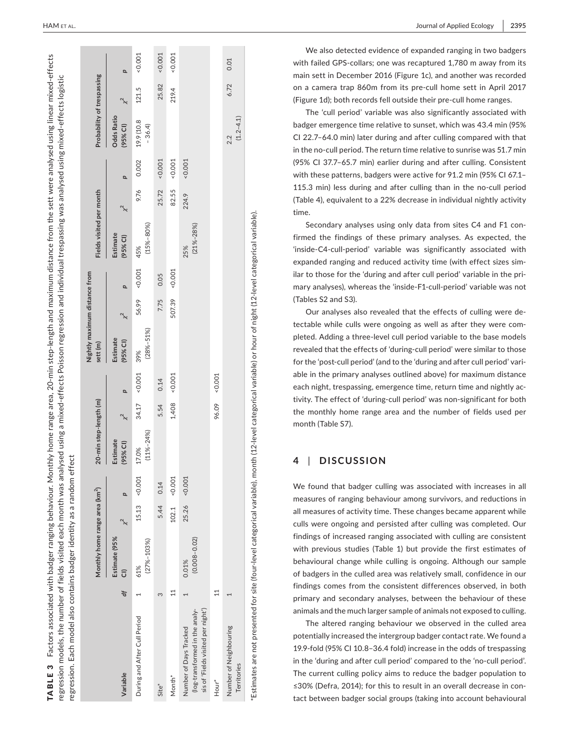| $15.13 \t < 0.001$<br>0.001<br>0.001<br>0.14<br>Q<br>25.26<br>5.44<br>102.1<br>Estimate (95%<br>$(0.008 - 0.02)$<br>$(27% - 103%)$<br>0.01%<br>61%<br>$\overline{11}$<br>đ<br>m<br>(log-transformed in the analy-<br>During and After Cull Period<br>Number of Days Tracked<br>Variable<br>Month <sup>*</sup><br>Site <sup>*</sup> | 20-min step-length (m)<br>Monthly home range area (km <sup>2</sup> ) |                   | Nightly maximum distance from<br>sett (m) |        |          | Fields visited per month       |                |          | Probability of trespassing      |       |          |
|------------------------------------------------------------------------------------------------------------------------------------------------------------------------------------------------------------------------------------------------------------------------------------------------------------------------------------|----------------------------------------------------------------------|-------------------|-------------------------------------------|--------|----------|--------------------------------|----------------|----------|---------------------------------|-------|----------|
|                                                                                                                                                                                                                                                                                                                                    | Estimate<br>$(95%$ CI)                                               | $\overline{a}$    | Estimate<br>(95% CI)                      | d      |          | $\chi$<br>Estimate<br>(95% CI) | $\overline{a}$ |          | <b>Odds Ratio</b><br>$(95%$ CI) | ⅍     | Q        |
|                                                                                                                                                                                                                                                                                                                                    | $(11\% - 24\%)$<br>17.0%                                             | $-0.001$<br>34.17 | $(28\% - 51\%)$<br>39%                    | 56.99  | &0.001   | $(15\% - 80\%)$<br>45%         | 9.76           | 0.002    | 19.9 (10.8<br>$-36.4$           | 121.5 | $-0.001$ |
|                                                                                                                                                                                                                                                                                                                                    |                                                                      | 0.14<br>5.54      |                                           | 7.75   | 0.05     |                                | 25.72          | $-0.001$ |                                 | 25.82 | 0.001    |
|                                                                                                                                                                                                                                                                                                                                    |                                                                      | $-0.001$<br>1,408 |                                           | 507.39 | $-0.001$ |                                | 82.55          | $-0.001$ |                                 | 219.4 | $-0.001$ |
| sis of 'Fields visited per night')                                                                                                                                                                                                                                                                                                 |                                                                      |                   |                                           |        |          | $(21\% - 28\%)$<br>25%         | 224.9          | $-0.001$ |                                 |       |          |
| $\mathbf{11}$<br>Hour <sup>*</sup>                                                                                                                                                                                                                                                                                                 |                                                                      | $-0.001$<br>96.09 |                                           |        |          |                                |                |          |                                 |       |          |
| Number of Neighbouring<br>Territories                                                                                                                                                                                                                                                                                              |                                                                      |                   |                                           |        |          |                                |                |          | $(1.2 - 4.1)$<br>2.2            | 6.72  | 0.01     |

 **|** HAM et al. Journal of Applied Ecology **2395**

We also detected evidence of expanded ranging in two badgers with failed GPS‐collars; one was recaptured 1,780 m away from its main sett in December 2016 (Figure 1c), and another was recorded on a camera trap 860m from its pre‐cull home sett in April 2017 (Figure 1d); both records fell outside their pre‐cull home ranges.

The 'cull period' variable was also significantly associated with badger emergence time relative to sunset, which was 43.4 min (95% CI 22.7–64.0 min) later during and after culling compared with that in the no-cull period. The return time relative to sunrise was 51.7 min (95% CI 37.7–65.7 min) earlier during and after culling. Consistent with these patterns, badgers were active for 91.2 min (95% CI 67.1– 115.3 min) less during and after culling than in the no‐cull period (Table 4), equivalent to a 22% decrease in individual nightly activity time.

Secondary analyses using only data from sites C4 and F1 con firmed the findings of these primary analyses. As expected, the 'inside‐C4‐cull‐period' variable was significantly associated with expanded ranging and reduced activity time (with effect sizes sim ilar to those for the 'during and after cull period' variable in the pri mary analyses), whereas the 'inside‐F1‐cull‐period' variable was not (Tables S2 and S3).

Our analyses also revealed that the effects of culling were de tectable while culls were ongoing as well as after they were com pleted. Adding a three‐level cull period variable to the base models revealed that the effects of 'during‐cull period' were similar to those for the 'post-cull period' (and to the 'during and after cull period' variable in the primary analyses outlined above) for maximum distance each night, trespassing, emergence time, return time and nightly ac tivity. The effect of 'during‐cull period' was non‐significant for both the monthly home range area and the number of fields used per month (Table S7).

#### **4**  | **DISCUSSION**

We found that badger culling was associated with increases in all measures of ranging behaviour among survivors, and reductions in all measures of activity time. These changes became apparent while culls were ongoing and persisted after culling was completed. Our findings of increased ranging associated with culling are consistent with previous studies (Table 1) but provide the first estimates of behavioural change while culling is ongoing. Although our sample of badgers in the culled area was relatively small, confidence in our findings comes from the consistent differences observed, in both primary and secondary analyses, between the behaviour of these animals and the much larger sample of animals not exposed to culling.

The altered ranging behaviour we observed in the culled area potentially increased the intergroup badger contact rate. We found a 19.9‐fold (95% CI 10.8–36.4 fold) increase in the odds of trespassing in the 'during and after cull period' compared to the 'no‐cull period'. The current culling policy aims to reduce the badger population to ≤30% (Defra, 2014); for this to result in an overall decrease in con tact between badger social groups (taking into account behavioural

TABLE 3

Factors associated with badger ranging behaviour. Monthly home range area, 20‐min step‐length and maximum distance from the sett were analysed using linear mixed‐effects

TABLE 3 Factors associated with badger ranging behaviour. Monthly home range area, 20-min step-length and maximum distance from the sett were analysed using linear mixed-effects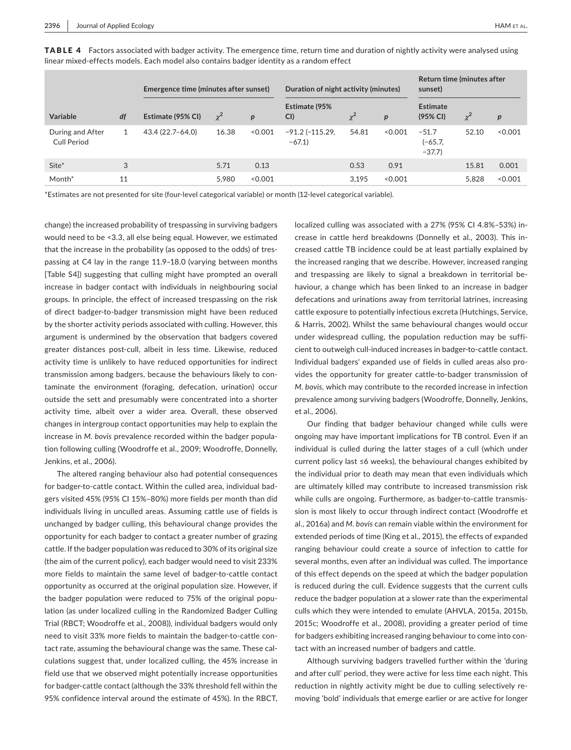|                                 | Emergence time (minutes after sunset) |                   |          |                  | Duration of night activity (minutes) |              |                  | Return time (minutes after<br>sunset) |          |         |
|---------------------------------|---------------------------------------|-------------------|----------|------------------|--------------------------------------|--------------|------------------|---------------------------------------|----------|---------|
| <b>Variable</b>                 | df                                    | Estimate (95% CI) | $\chi^2$ | $\boldsymbol{p}$ | Estimate (95%<br>CI                  | $\checkmark$ | $\boldsymbol{p}$ | <b>Estimate</b><br>(95% CI)           | $\chi^2$ | p       |
| During and After<br>Cull Period | 1                                     | 43.4 (22.7–64.0)  | 16.38    | 0.001            | $-91.2$ ( $-115.29$<br>$-67.1$       | 54.81        | < 0.001          | $-51.7$<br>$(-65.7,$<br>$-37.7$       | 52.10    | < 0.001 |
| Site*                           | 3                                     |                   | 5.71     | 0.13             |                                      | 0.53         | 0.91             |                                       | 15.81    | 0.001   |
| Month <sup>*</sup>              | 11                                    |                   | 5.980    | < 0.001          |                                      | 3.195        | < 0.001          |                                       | 5.828    | < 0.001 |

TABLE 4 Factors associated with badger activity. The emergence time, return time and duration of nightly activity were analysed using linear mixed‐effects models. Each model also contains badger identity as a random effect

\*Estimates are not presented for site (four‐level categorical variable) or month (12‐level categorical variable).

change) the increased probability of trespassing in surviving badgers would need to be <3.3, all else being equal. However, we estimated that the increase in the probability (as opposed to the odds) of trespassing at C4 lay in the range 11.9–18.0 (varying between months [Table S4]) suggesting that culling might have prompted an overall increase in badger contact with individuals in neighbouring social groups. In principle, the effect of increased trespassing on the risk of direct badger‐to‐badger transmission might have been reduced by the shorter activity periods associated with culling. However, this argument is undermined by the observation that badgers covered greater distances post-cull, albeit in less time. Likewise, reduced activity time is unlikely to have reduced opportunities for indirect transmission among badgers, because the behaviours likely to contaminate the environment (foraging, defecation, urination) occur outside the sett and presumably were concentrated into a shorter activity time, albeit over a wider area. Overall, these observed changes in intergroup contact opportunities may help to explain the increase in *M. bovis* prevalence recorded within the badger population following culling (Woodroffe et al., 2009; Woodroffe, Donnelly, Jenkins, et al., 2006).

The altered ranging behaviour also had potential consequences for badger-to-cattle contact. Within the culled area, individual badgers visited 45% (95% CI 15%–80%) more fields per month than did individuals living in unculled areas. Assuming cattle use of fields is unchanged by badger culling, this behavioural change provides the opportunity for each badger to contact a greater number of grazing cattle. If the badger population was reduced to 30% of its original size (the aim of the current policy), each badger would need to visit 233% more fields to maintain the same level of badger-to-cattle contact opportunity as occurred at the original population size. However, if the badger population were reduced to 75% of the original population (as under localized culling in the Randomized Badger Culling Trial (RBCT; Woodroffe et al., 2008)), individual badgers would only need to visit 33% more fields to maintain the badger-to-cattle contact rate, assuming the behavioural change was the same. These calculations suggest that, under localized culling, the 45% increase in field use that we observed might potentially increase opportunities for badger-cattle contact (although the 33% threshold fell within the 95% confidence interval around the estimate of 45%). In the RBCT,

localized culling was associated with a 27% (95% CI 4.8%–53%) increase in cattle herd breakdowns (Donnelly et al., 2003). This increased cattle TB incidence could be at least partially explained by the increased ranging that we describe. However, increased ranging and trespassing are likely to signal a breakdown in territorial behaviour, a change which has been linked to an increase in badger defecations and urinations away from territorial latrines, increasing cattle exposure to potentially infectious excreta (Hutchings, Service, & Harris, 2002). Whilst the same behavioural changes would occur under widespread culling, the population reduction may be sufficient to outweigh cull‐induced increases in badger‐to‐cattle contact. Individual badgers' expanded use of fields in culled areas also provides the opportunity for greater cattle‐to‐badger transmission of *M. bovis*, which may contribute to the recorded increase in infection prevalence among surviving badgers (Woodroffe, Donnelly, Jenkins, et al., 2006).

Our finding that badger behaviour changed while culls were ongoing may have important implications for TB control. Even if an individual is culled during the latter stages of a cull (which under current policy last ≤6 weeks), the behavioural changes exhibited by the individual prior to death may mean that even individuals which are ultimately killed may contribute to increased transmission risk while culls are ongoing. Furthermore, as badger-to-cattle transmission is most likely to occur through indirect contact (Woodroffe et al., 2016a) and *M. bovis* can remain viable within the environment for extended periods of time (King et al., 2015), the effects of expanded ranging behaviour could create a source of infection to cattle for several months, even after an individual was culled. The importance of this effect depends on the speed at which the badger population is reduced during the cull. Evidence suggests that the current culls reduce the badger population at a slower rate than the experimental culls which they were intended to emulate (AHVLA, 2015a, 2015b, 2015c; Woodroffe et al., 2008), providing a greater period of time for badgers exhibiting increased ranging behaviour to come into contact with an increased number of badgers and cattle.

Although surviving badgers travelled further within the 'during and after cull' period, they were active for less time each night. This reduction in nightly activity might be due to culling selectively removing 'bold' individuals that emerge earlier or are active for longer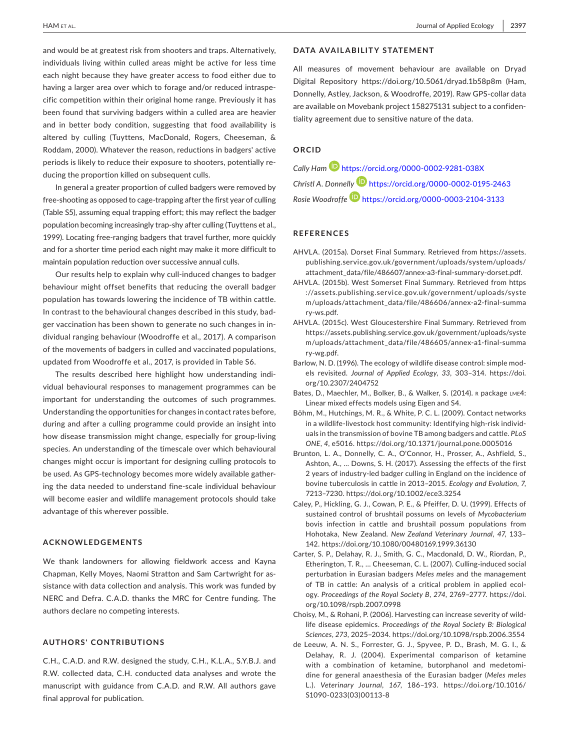and would be at greatest risk from shooters and traps. Alternatively, individuals living within culled areas might be active for less time each night because they have greater access to food either due to having a larger area over which to forage and/or reduced intraspecific competition within their original home range. Previously it has been found that surviving badgers within a culled area are heavier and in better body condition, suggesting that food availability is altered by culling (Tuyttens, MacDonald, Rogers, Cheeseman, & Roddam, 2000). Whatever the reason, reductions in badgers' active periods is likely to reduce their exposure to shooters, potentially reducing the proportion killed on subsequent culls.

In general a greater proportion of culled badgers were removed by free‐shooting as opposed to cage‐trapping after the first year of culling (Table S5), assuming equal trapping effort; this may reflect the badger population becoming increasingly trap‐shy after culling (Tuyttens et al., 1999). Locating free-ranging badgers that travel further, more quickly and for a shorter time period each night may make it more difficult to maintain population reduction over successive annual culls.

Our results help to explain why cull‐induced changes to badger behaviour might offset benefits that reducing the overall badger population has towards lowering the incidence of TB within cattle. In contrast to the behavioural changes described in this study, badger vaccination has been shown to generate no such changes in individual ranging behaviour (Woodroffe et al., 2017). A comparison of the movements of badgers in culled and vaccinated populations, updated from Woodroffe et al., 2017, is provided in Table S6.

The results described here highlight how understanding individual behavioural responses to management programmes can be important for understanding the outcomes of such programmes. Understanding the opportunities for changes in contact rates before, during and after a culling programme could provide an insight into how disease transmission might change, especially for group‐living species. An understanding of the timescale over which behavioural changes might occur is important for designing culling protocols to be used. As GPS‐technology becomes more widely available gathering the data needed to understand fine‐scale individual behaviour will become easier and wildlife management protocols should take advantage of this wherever possible.

# **ACKNOWLEDGEMENTS**

We thank landowners for allowing fieldwork access and Kayna Chapman, Kelly Moyes, Naomi Stratton and Sam Cartwright for assistance with data collection and analysis. This work was funded by NERC and Defra. C.A.D. thanks the MRC for Centre funding. The authors declare no competing interests.

#### **AUTHORS' CONTRIBUTIONS**

C.H., C.A.D. and R.W. designed the study, C.H., K.L.A., S.Y.B.J. and R.W. collected data, C.H. conducted data analyses and wrote the manuscript with guidance from C.A.D. and R.W. All authors gave final approval for publication.

# **DATA AVAILABILITY STATEMENT**

All measures of movement behaviour are available on Dryad Digital Repository <https://doi.org/10.5061/dryad.1b58p8m> (Ham, Donnelly, Astley, Jackson, & Woodroffe, 2019). Raw GPS‐collar data are available on Movebank project 158275131 subject to a confidentiality agreement due to sensitive nature of the data.

# **ORCID**

*Cally Ham* <https://orcid.org/0000-0002-9281-038X> *Christl A. Donnelly* <https://orcid.org/0000-0002-0195-2463> *Rosie Woodroff[e](https://orcid.org/0000-0003-2104-3133)* <https://orcid.org/0000-0003-2104-3133>

#### **REFERENCES**

- AHVLA. (2015a). Dorset Final Summary. Retrieved from [https://assets.](https://assets.publishing.service.gov.uk/government/uploads/system/uploads/attachment_data/file/486607/annex-a3-final-summary-dorset.pdf) [publishing.service.gov.uk/government/uploads/system/uploads/](https://assets.publishing.service.gov.uk/government/uploads/system/uploads/attachment_data/file/486607/annex-a3-final-summary-dorset.pdf) [attachment\\_data/file/486607/annex-a3-final-summary-dorset.pdf](https://assets.publishing.service.gov.uk/government/uploads/system/uploads/attachment_data/file/486607/annex-a3-final-summary-dorset.pdf).
- AHVLA. (2015b). West Somerset Final Summary. Retrieved from [https](https://assets.publishing.service.gov.uk/government/uploads/system/uploads/attachment_data/file/486606/annex-a2-final-summary-ws.pdf) [://assets.publishing.service.gov.uk/government/uploads/syste](https://assets.publishing.service.gov.uk/government/uploads/system/uploads/attachment_data/file/486606/annex-a2-final-summary-ws.pdf) [m/uploads/attachment\\_data/file/486606/annex-a2-final-summa](https://assets.publishing.service.gov.uk/government/uploads/system/uploads/attachment_data/file/486606/annex-a2-final-summary-ws.pdf) [ry-ws.pdf](https://assets.publishing.service.gov.uk/government/uploads/system/uploads/attachment_data/file/486606/annex-a2-final-summary-ws.pdf).
- AHVLA. (2015c). West Gloucestershire Final Summary. Retrieved from [https://assets.publishing.service.gov.uk/government/uploads/syste](https://assets.publishing.service.gov.uk/government/uploads/system/uploads/attachment_data/file/486605/annex-a1-final-summary-wg.pdf) [m/uploads/attachment\\_data/file/486605/annex-a1-final-summa](https://assets.publishing.service.gov.uk/government/uploads/system/uploads/attachment_data/file/486605/annex-a1-final-summary-wg.pdf) [ry-wg.pdf.](https://assets.publishing.service.gov.uk/government/uploads/system/uploads/attachment_data/file/486605/annex-a1-final-summary-wg.pdf)
- Barlow, N. D. (1996). The ecology of wildlife disease control: simple models revisited. *Journal of Applied Ecology*, *33*, 303–314. [https://doi.](https://doi.org/10.2307/2404752) [org/10.2307/2404752](https://doi.org/10.2307/2404752)
- Bates, D., Maechler, M., Bolker, B., & Walker, S. (2014). R package LME4: Linear mixed effects models using Eigen and S4.
- Böhm, M., Hutchings, M. R., & White, P. C. L. (2009). Contact networks in a wildlife‐livestock host community: Identifying high‐risk individuals in the transmission of bovine TB among badgers and cattle. *PLoS ONE*, *4*, e5016. <https://doi.org/10.1371/journal.pone.0005016>
- Brunton, L. A., Donnelly, C. A., O'Connor, H., Prosser, A., Ashfield, S., Ashton, A., … Downs, S. H. (2017). Assessing the effects of the first 2 years of industry‐led badger culling in England on the incidence of bovine tuberculosis in cattle in 2013–2015. *Ecology and Evolution*, *7*, 7213–7230.<https://doi.org/10.1002/ece3.3254>
- Caley, P., Hickling, G. J., Cowan, P. E., & Pfeiffer, D. U. (1999). Effects of sustained control of brushtail possums on levels of *Mycobacterium* bovis infection in cattle and brushtail possum populations from Hohotaka, New Zealand. *New Zealand Veterinary Journal*, *47*, 133– 142.<https://doi.org/10.1080/00480169.1999.36130>
- Carter, S. P., Delahay, R. J., Smith, G. C., Macdonald, D. W., Riordan, P., Etherington, T. R., … Cheeseman, C. L. (2007). Culling‐induced social perturbation in Eurasian badgers *Meles meles* and the management of TB in cattle: An analysis of a critical problem in applied ecology. *Proceedings of the Royal Society B*, *274*, 2769–2777. [https://doi.](https://doi.org/10.1098/rspb.2007.0998) [org/10.1098/rspb.2007.0998](https://doi.org/10.1098/rspb.2007.0998)
- Choisy, M., & Rohani, P. (2006). Harvesting can increase severity of wildlife disease epidemics. *Proceedings of the Royal Society B: Biological Sciences*, *273*, 2025–2034.<https://doi.org/10.1098/rspb.2006.3554>
- de Leeuw, A. N. S., Forrester, G. J., Spyvee, P. D., Brash, M. G. I., & Delahay, R. J. (2004). Experimental comparison of ketamine with a combination of ketamine, butorphanol and medetomidine for general anaesthesia of the Eurasian badger (*Meles meles* L.). *Veterinary Journal*, *167*, 186–193. [https://doi.org/10.1016/](https://doi.org/10.1016/S1090-0233(03)00113-8) [S1090-0233\(03\)00113-8](https://doi.org/10.1016/S1090-0233(03)00113-8)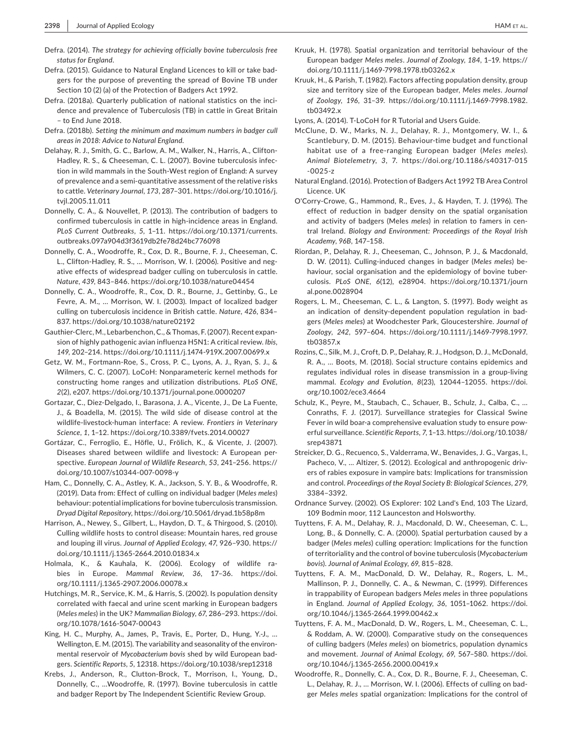- Defra. (2014). *The strategy for achieving officially bovine tuberculosis free status for England*.
- Defra. (2015). Guidance to Natural England Licences to kill or take badgers for the purpose of preventing the spread of Bovine TB under Section 10 (2) (a) of the Protection of Badgers Act 1992.
- Defra. (2018a). Quarterly publication of national statistics on the incidence and prevalence of Tuberculosis (TB) in cattle in Great Britain – to End June 2018.
- Defra. (2018b). *Setting the minimum and maximum numbers in badger cull areas in 2018: Advice to Natural England*.
- Delahay, R. J., Smith, G. C., Barlow, A. M., Walker, N., Harris, A., Clifton‐ Hadley, R. S., & Cheeseman, C. L. (2007). Bovine tuberculosis infection in wild mammals in the South‐West region of England: A survey of prevalence and a semi‐quantitative assessment of the relative risks to cattle. *Veterinary Journal*, *173*, 287–301. [https://doi.org/10.1016/j.](https://doi.org/10.1016/j.tvjl.2005.11.011) [tvjl.2005.11.011](https://doi.org/10.1016/j.tvjl.2005.11.011)
- Donnelly, C. A., & Nouvellet, P. (2013). The contribution of badgers to confirmed tuberculosis in cattle in high‐incidence areas in England. *PLoS Current Outbreaks*, *5*, 1–11. [https://doi.org/10.1371/currents.](https://doi.org/10.1371/currents.outbreaks.097a904d3f3619db2fe78d24bc776098) [outbreaks.097a904d3f3619db2fe78d24bc776098](https://doi.org/10.1371/currents.outbreaks.097a904d3f3619db2fe78d24bc776098)
- Donnelly, C. A., Woodroffe, R., Cox, D. R., Bourne, F. J., Cheeseman, C. L., Clifton‐Hadley, R. S., … Morrison, W. I. (2006). Positive and negative effects of widespread badger culling on tuberculosis in cattle. *Nature*, *439*, 843–846. <https://doi.org/10.1038/nature04454>
- Donnelly, C. A., Woodroffe, R., Cox, D. R., Bourne, J., Gettinby, G., Le Fevre, A. M., … Morrison, W. I. (2003). Impact of localized badger culling on tuberculosis incidence in British cattle. *Nature*, *426*, 834– 837. <https://doi.org/10.1038/nature02192>
- Gauthier‐Clerc, M., Lebarbenchon, C., & Thomas, F. (2007). Recent expansion of highly pathogenic avian influenza H5N1: A critical review. *Ibis*, *149*, 202–214.<https://doi.org/10.1111/j.1474-919X.2007.00699.x>
- Getz, W. M., Fortmann‐Roe, S., Cross, P. C., Lyons, A. J., Ryan, S. J., & Wilmers, C. C. (2007). LoCoH: Nonparameteric kernel methods for constructing home ranges and utilization distributions. *PLoS ONE*, *2*(2), e207.<https://doi.org/10.1371/journal.pone.0000207>
- Gortazar, C., Diez‐Delgado, I., Barasona, J. A., Vicente, J., De La Fuente, J., & Boadella, M. (2015). The wild side of disease control at the wildlife‐livestock‐human interface: A review. *Frontiers in Veterinary Science*, *1*, 1–12.<https://doi.org/10.3389/fvets.2014.00027>
- Gortázar, C., Ferroglio, E., Höfle, U., Frölich, K., & Vicente, J. (2007). Diseases shared between wildlife and livestock: A European perspective. *European Journal of Wildlife Research*, *53*, 241–256. [https://](https://doi.org/10.1007/s10344-007-0098-y) [doi.org/10.1007/s10344-007-0098-y](https://doi.org/10.1007/s10344-007-0098-y)
- Ham, C., Donnelly, C. A., Astley, K. A., Jackson, S. Y. B., & Woodroffe, R. (2019). Data from: Effect of culling on individual badger (*Meles meles*) behaviour: potential implications for bovine tuberculosis transmission. *Dryad Digital Repository*,<https://doi.org/10.5061/dryad.1b58p8m>
- Harrison, A., Newey, S., Gilbert, L., Haydon, D. T., & Thirgood, S. (2010). Culling wildlife hosts to control disease: Mountain hares, red grouse and louping ill virus. *Journal of Applied Ecology*, *47*, 926–930. [https://](https://doi.org/10.1111/j.1365-2664.2010.01834.x) [doi.org/10.1111/j.1365-2664.2010.01834.x](https://doi.org/10.1111/j.1365-2664.2010.01834.x)
- Holmala, K., & Kauhala, K. (2006). Ecology of wildlife rabies in Europe. *Mammal Review*, *36*, 17–36. [https://doi.](https://doi.org/10.1111/j.1365-2907.2006.00078.x) [org/10.1111/j.1365-2907.2006.00078.x](https://doi.org/10.1111/j.1365-2907.2006.00078.x)
- Hutchings, M. R., Service, K. M., & Harris, S. (2002). Is population density correlated with faecal and urine scent marking in European badgers (*Meles meles*) in the UK? *Mammalian Biology*, *67*, 286–293. [https://doi.](https://doi.org/10.1078/1616-5047-00043) [org/10.1078/1616-5047-00043](https://doi.org/10.1078/1616-5047-00043)
- King, H. C., Murphy, A., James, P., Travis, E., Porter, D., Hung, Y.‐J., … Wellington, E. M. (2015). The variability and seasonality of the environmental reservoir of *Mycobacterium bovis* shed by wild European badgers. *Scientific Reports*, *5*, 12318. <https://doi.org/10.1038/srep12318>
- Krebs, J., Anderson, R., Clutton‐Brock, T., Morrison, I., Young, D., Donnelly, C., …Woodroffe, R. (1997). Bovine tuberculosis in cattle and badger Report by The Independent Scientific Review Group.
- Kruuk, H. (1978). Spatial organization and territorial behaviour of the European badger *Meles meles*. *Journal of Zoology*, *184*, 1–19. [https://](https://doi.org/10.1111/j.1469-7998.1978.tb03262.x) [doi.org/10.1111/j.1469-7998.1978.tb03262.x](https://doi.org/10.1111/j.1469-7998.1978.tb03262.x)
- Kruuk, H., & Parish, T. (1982). Factors affecting population density, group size and territory size of the European badger, *Meles meles*. *Journal of Zoology*, *196*, 31–39. [https://doi.org/10.1111/j.1469-7998.1982.](https://doi.org/10.1111/j.1469-7998.1982.tb03492.x) [tb03492.x](https://doi.org/10.1111/j.1469-7998.1982.tb03492.x)
- Lyons, A. (2014). T‐LoCoH for R Tutorial and Users Guide.
- McClune, D. W., Marks, N. J., Delahay, R. J., Montgomery, W. I., & Scantlebury, D. M. (2015). Behaviour‐time budget and functional habitat use of a free‐ranging European badger (*Meles meles*). *Animal Biotelemetry*, *3*, 7. [https://doi.org/10.1186/s40317-015](https://doi.org/10.1186/s40317-015-0025-z) [-0025-z](https://doi.org/10.1186/s40317-015-0025-z)
- Natural England. (2016). Protection of Badgers Act 1992 TB Area Control Licence. UK
- O'Corry‐Crowe, G., Hammond, R., Eves, J., & Hayden, T. J. (1996). The effect of reduction in badger density on the spatial organisation and activity of badgers (Meles *meles*) in relation to famers in central Ireland. *Biology and Environment: Proceedings of the Royal Irish Academy*, *96B*, 147–158.
- Riordan, P., Delahay, R. J., Cheeseman, C., Johnson, P. J., & Macdonald, D. W. (2011). Culling‐induced changes in badger (*Meles meles*) behaviour, social organisation and the epidemiology of bovine tuberculosis. *PLoS ONE*, *6*(12), e28904. [https://doi.org/10.1371/journ](https://doi.org/10.1371/journal.pone.0028904) [al.pone.0028904](https://doi.org/10.1371/journal.pone.0028904)
- Rogers, L. M., Cheeseman, C. L., & Langton, S. (1997). Body weight as an indication of density‐dependent population regulation in badgers (*Meles meles*) at Woodchester Park, Gloucestershire. *Journal of Zoology*, *242*, 597–604. [https://doi.org/10.1111/j.1469-7998.1997.](https://doi.org/10.1111/j.1469-7998.1997.tb03857.x) [tb03857.x](https://doi.org/10.1111/j.1469-7998.1997.tb03857.x)
- Rozins, C., Silk, M. J., Croft, D. P., Delahay, R. J., Hodgson, D. J., McDonald, R. A., … Boots, M. (2018). Social structure contains epidemics and regulates individual roles in disease transmission in a group‐living mammal. *Ecology and Evolution*, *8*(23), 12044–12055. [https://doi.](https://doi.org/10.1002/ece3.4664) [org/10.1002/ece3.4664](https://doi.org/10.1002/ece3.4664)
- Schulz, K., Peyre, M., Staubach, C., Schauer, B., Schulz, J., Calba, C., … Conraths, F. J. (2017). Surveillance strategies for Classical Swine Fever in wild boar-a comprehensive evaluation study to ensure powerful surveillance. *Scientific Reports*, *7*, 1–13. [https://doi.org/10.1038/](https://doi.org/10.1038/srep43871) [srep43871](https://doi.org/10.1038/srep43871)
- Streicker, D. G., Recuenco, S., Valderrama, W., Benavides, J. G., Vargas, I., Pacheco, V., … Altizer, S. (2012). Ecological and anthropogenic drivers of rabies exposure in vampire bats: Implications for transmission and control. *Proceedings of the Royal Society B: Biological Sciences*, *279*, 3384–3392.
- Ordnance Survey. (2002). OS Explorer: 102 Land's End, 103 The Lizard, 109 Bodmin moor, 112 Launceston and Holsworthy.
- Tuyttens, F. A. M., Delahay, R. J., Macdonald, D. W., Cheeseman, C. L., Long, B., & Donnelly, C. A. (2000). Spatial perturbation caused by a badger (*Meles meles*) culling operation: Implications for the function of territoriality and the control of bovine tuberculosis (*Mycobacterium bovis*). *Journal of Animal Ecology*, *69*, 815–828.
- Tuyttens, F. A. M., MacDonald, D. W., Delahay, R., Rogers, L. M., Mallinson, P. J., Donnelly, C. A., & Newman, C. (1999). Differences in trappability of European badgers *Meles meles* in three populations in England. *Journal of Applied Ecology*, *36*, 1051–1062. [https://doi.](https://doi.org/10.1046/j.1365-2664.1999.00462.x) [org/10.1046/j.1365-2664.1999.00462.x](https://doi.org/10.1046/j.1365-2664.1999.00462.x)
- Tuyttens, F. A. M., MacDonald, D. W., Rogers, L. M., Cheeseman, C. L., & Roddam, A. W. (2000). Comparative study on the consequences of culling badgers (*Meles meles*) on biometrics, population dynamics and movement. *Journal of Animal Ecology*, *69*, 567–580. [https://doi.](https://doi.org/10.1046/j.1365-2656.2000.00419.x) [org/10.1046/j.1365-2656.2000.00419.x](https://doi.org/10.1046/j.1365-2656.2000.00419.x)
- Woodroffe, R., Donnelly, C. A., Cox, D. R., Bourne, F. J., Cheeseman, C. L., Delahay, R. J., … Morrison, W. I. (2006). Effects of culling on badger *Meles meles* spatial organization: Implications for the control of